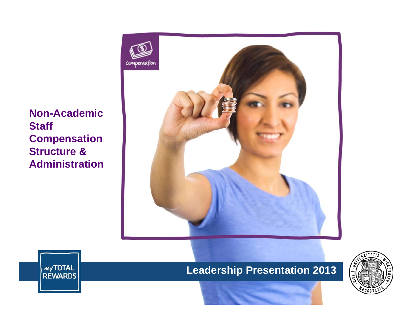**Non-Academic Staff Compensation Structure & Administration**





**Leadership Presentation 2013**

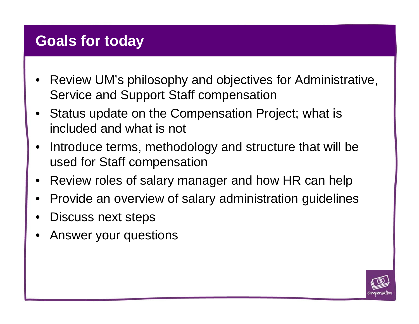### **Goals for today**

- • Review UM's philosophy and objectives for Administrative, Service and Support Staff compensation
- • Status update on the Compensation Project; what is included and what is not
- • Introduce terms, methodology and structure that will be used for Staff compensation
- •Review roles of salary manager and how HR can help
- •Provide an overview of salary administration guidelines
- •Discuss next steps
- •Answer your questions

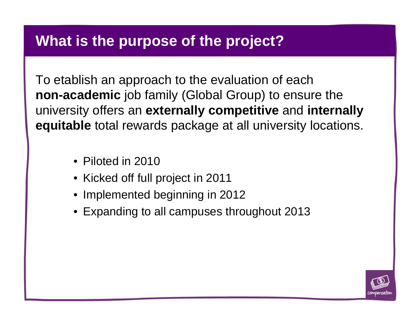#### **What is the purpose of the project?**

To etablish an approach to the evaluation of each **non-academic** job family (Global Group) to ensure the university offers an **externally competitive** and **internally equitable** total rewards package at all university locations.

- Piloted in 2010
- Kicked off full project in 2011
- Implemented beginning in 2012
- Expanding to all campuses throughout 2013

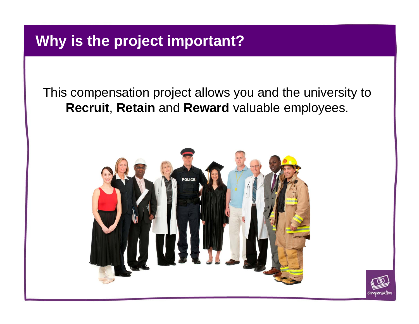# **Why is the project important?**

This compensation project allows you and the university to **Recruit**, **Retain** and **Reward** valuable employees.



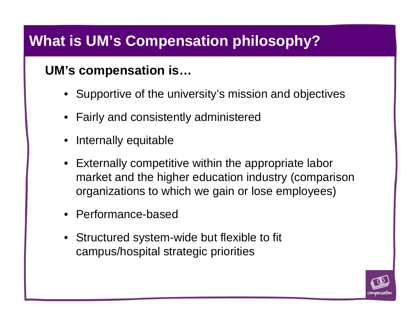# **What is UM's Compensation philosophy?**

#### **UM's compensation is…**

- Supportive of the university's mission and objectives
- Fairly and consistently administered
- •Internally equitable
- Externally competitive within the appropriate labor market and the higher education industry (comparison organizations to which we gain or lose employees)
- Performance-based
- Structured system-wide but flexible to fit campus/hospital strategic priorities

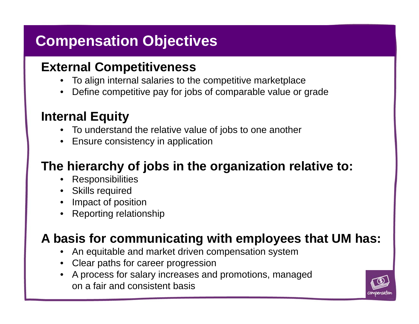# **Compensation Objectives**

#### **External Competitiveness**

- •To align internal salaries to the competitive marketplace
- •Define competitive pay for jobs of comparable value or grade

#### **Internal Equity**

- To understand the relative value of jobs to one another
- Ensure consistency in application

### **The hierarchy of jobs in the organization relative to:**

- •Responsibilities
- Skills required
- Impact of position
- Reporting relationship

### **A basis for communicating with employees that UM has:**

- •An equitable and market driven compensation system
- Clear paths for career progression
- A process for salary increases and promotions, managed on a fair and consistent basis

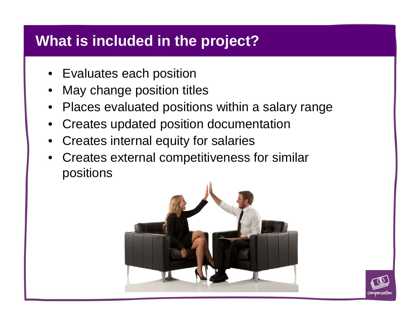# **What is included in the project?**

- Evaluates each position
- •May change position titles
- Places evaluated positions within a salary range
- Creates updated position documentation
- Creates internal equity for salaries
- • Creates external competitiveness for similar positions



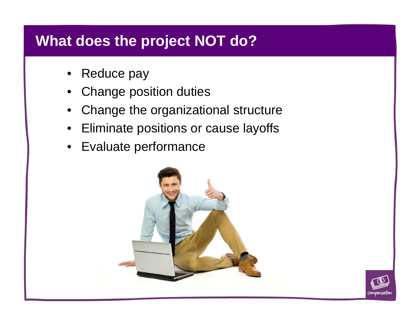# **What does the project NOT do?**

- •Reduce pay
- •Change position duties
- •Change the organizational structure
- $\bullet$ Eliminate positions or cause layoffs
- $\bullet$ Evaluate performance



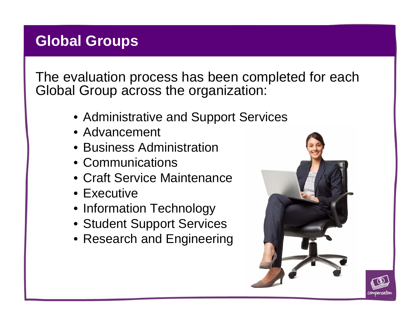# **Global Groups**

The evaluation process has been completed for each Global Group across the organization:

- Administrative and Support Services
- Advancement
- Business Administration
- Communications
- Craft Service Maintenance
- Executive
- Information Technology
- Student Support Services
- Research and Engineering



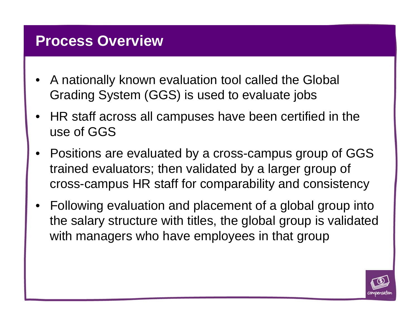#### **Process Overview**

- • A nationally known evaluation tool called the Global Grading System (GGS) is used to evaluate jobs
- $\bullet$  HR staff across all campuses have been certified in the use of GGS
- • Positions are evaluated by a cross-campus group of GGS trained evaluators; then validated by a larger group of cross-campus HR staff for comparability and consistency
- Following evaluation and placement of a global group into the salary structure with titles, the global group is validated with managers who have employees in that group

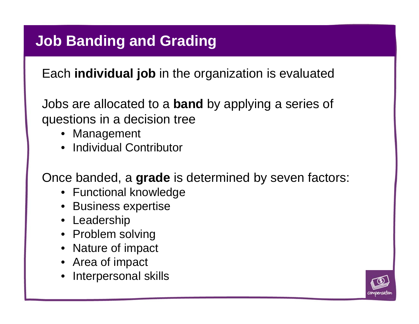# **Job Banding and Grading**

Each **individual job** in the organization is evaluated

Jobs are allocated to a **band** by applying a series of questions in a decision tree

- Management
- Individual Contributor

Once banded, a **grade** is determined by seven factors:

- Functional knowledge
- Business expertise
- Leadership
- Problem solving
- Nature of impact
- Area of impact
- Interpersonal skills

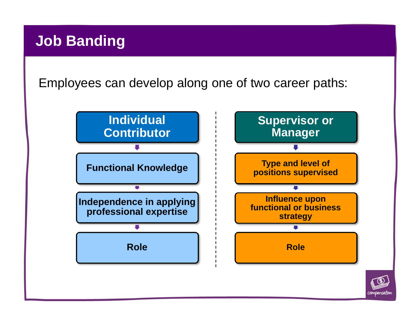# **Job Banding**

Employees can develop along one of two career paths:

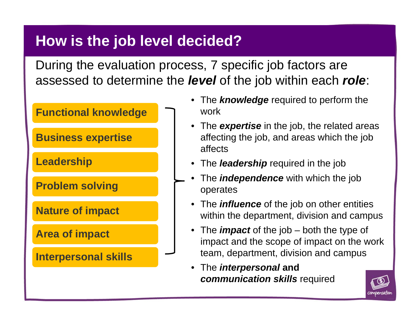# **How is the job level decided?**

During the evaluation process, 7 specific job factors are assessed to determine the *level* of the job within each *role*:



- The *knowledge* required to perform the work
- The *expertise* in the job, the related areas affecting the job, and areas which the job affects
- The *leadership* required in the job
- • The *independence* with which the job operates
- The *influence* of the job on other entities within the department, division and campus
- The *impact* of the job both the type of impact and the scope of impact on the work team, department, division and campus
- The *interpersonal* **and**  *communication skills* required

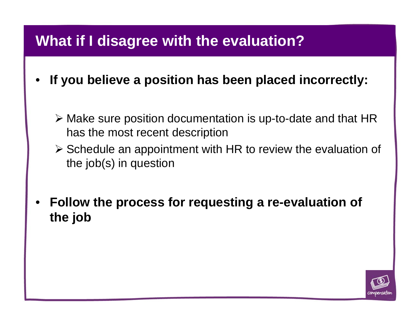### **What if I disagree with the evaluation?**

- • **If you believe a position has been placed incorrectly:**
	- Make sure position documentation is up-to-date and that HR has the most recent description
	- $\triangleright$  Schedule an appointment with HR to review the evaluation of the job(s) in question
- • **Follow the process for requesting a re-evaluation of the job**

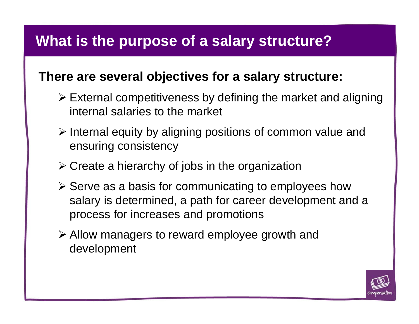# **What is the purpose of a salary structure?**

#### **There are several objectives for a salary structure:**

- $\triangleright$  External competitiveness by defining the market and aligning internal salaries to the market
- $\triangleright$  Internal equity by aligning positions of common value and ensuring consistency
- $\triangleright$  Create a hierarchy of jobs in the organization
- $\triangleright$  Serve as a basis for communicating to employees how salary is determined, a path for career development and a process for increases and promotions
- Allow managers to reward employee growth and development

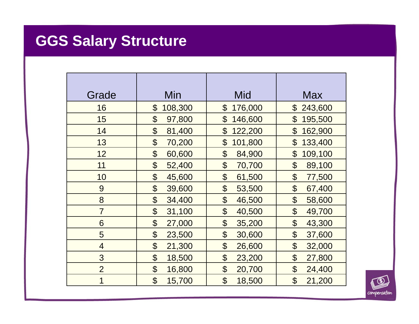# **GGS Salary Structure**

| Grade          | Min                   | Mid                   | <b>Max</b>                |
|----------------|-----------------------|-----------------------|---------------------------|
|                |                       |                       |                           |
| 16             | $\boldsymbol{\theta}$ | 176,000               | 243,600                   |
|                | 108,300               | $\boldsymbol{\theta}$ | $\boldsymbol{\mathsf{S}}$ |
| 15             | \$                    | \$                    | \$                        |
|                | 97,800                | 146,600               | 195,500                   |
| 14             | \$                    | \$                    | \$                        |
|                | 81,400                | 122,200               | 162,900                   |
| 13             | \$                    | \$                    | $\mathfrak{P}$            |
|                | 70,200                | 101,800               | 133,400                   |
| 12             | \$                    | \$                    | $\mathfrak{P}$            |
|                | 60,600                | 84,900                | 109,100                   |
| 11             | \$                    | \$                    | \$                        |
|                | 52,400                | 70,700                | 89,100                    |
| 10             | \$                    | \$                    | $\boldsymbol{\mathsf{S}}$ |
|                | 45,600                | 61,500                | 77,500                    |
| 9              | \$                    | \$                    | \$                        |
|                | 39,600                | 53,500                | 67,400                    |
| 8              | \$                    | \$                    | $\mathfrak{P}$            |
|                | 34,400                | 46,500                | 58,600                    |
| $\overline{7}$ | \$                    | \$                    | \$                        |
|                | 31,100                | 40,500                | 49,700                    |
| 6              | \$                    | \$                    | \$                        |
|                | 27,000                | 35,200                | 43,300                    |
| 5              | \$                    | \$                    | \$                        |
|                | 23,500                | 30,600                | 37,600                    |
| $\overline{4}$ | \$                    | \$                    | \$                        |
|                | 21,300                | 26,600                | 32,000                    |
| 3              | \$                    | \$                    | \$                        |
|                | 18,500                | 23,200                | 27,800                    |
| $\overline{2}$ | \$                    | $\boldsymbol{\theta}$ | \$                        |
|                | 16,800                | 20,700                | 24,400                    |
| 1              | $\mathfrak{P}$        | \$                    | $\mathfrak{P}$            |
|                | 15,700                | 18,500                | 21,200                    |

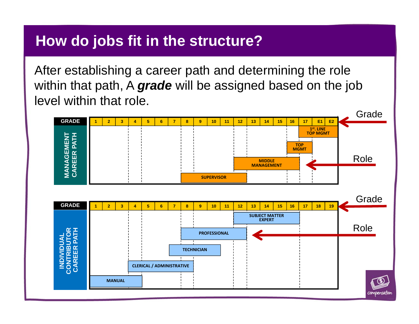#### **How do jobs fit in the structure?**

After establishing a career path and determining the role within that path, A *grade* will be assigned based on the job level within that role.

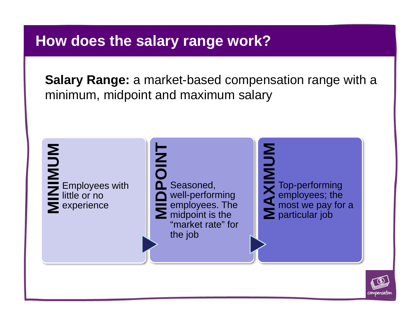#### **How does the salary range work?**

**Salary Range:** a market-based compensation range with a minimum, midpoint and maximum salary



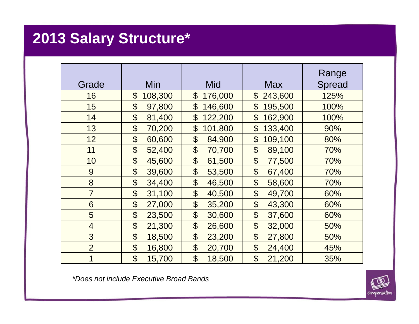# **2013 Salary Structure\***

| Grade          | Min                              | Mid                                 | <b>Max</b>                           | Range<br><b>Spread</b> |
|----------------|----------------------------------|-------------------------------------|--------------------------------------|------------------------|
| 16             | $\boldsymbol{\theta}$<br>108,300 | \$<br>176,000                       | \$<br>243,600                        | 125%                   |
| 15             | \$<br>97,800                     | \$<br>146,600                       | $\boldsymbol{\theta}$<br>195,500     | 100%                   |
| 14             | \$<br>81,400                     | $\mathfrak{P}$<br>122,200           | $\boldsymbol{\theta}$<br>162,900     | 100%                   |
| 13             | \$<br>70,200                     | $\mathfrak{P}$<br>101,800           | $\boldsymbol{\theta}$<br>133,400     | 90%                    |
| 12             | \$<br>60,600                     | $\boldsymbol{\theta}$<br>84,900     | $\boldsymbol{\mathsf{S}}$<br>109,100 | 80%                    |
| 11             | \$<br>52,400                     | $\boldsymbol{\theta}$<br>70,700     | \$<br>89,100                         | 70%                    |
| 10             | \$<br>45,600                     | \$<br>61,500                        | \$<br>77,500                         | 70%                    |
| 9              | \$<br>39,600                     | \$<br>53,500                        | \$<br>67,400                         | 70%                    |
| 8              | \$<br>34,400                     | \$<br>46,500                        | $\boldsymbol{\theta}$<br>58,600      | 70%                    |
| $\overline{7}$ | $\boldsymbol{\theta}$<br>31,100  | \$<br>40,500                        | \$<br>49,700                         | 60%                    |
| 6              | \$<br>27,000                     | \$<br>35,200                        | \$<br>43,300                         | 60%                    |
| 5              | $\boldsymbol{\theta}$<br>23,500  | $\boldsymbol{\mathsf{S}}$<br>30,600 | \$<br>37,600                         | 60%                    |
| $\overline{4}$ | $\boldsymbol{\theta}$<br>21,300  | $\boldsymbol{\theta}$<br>26,600     | \$<br>32,000                         | 50%                    |
| 3              | \$<br>18,500                     | $\boldsymbol{\theta}$<br>23,200     | $\boldsymbol{\theta}$<br>27,800      | 50%                    |
| $\overline{2}$ | \$<br>16,800                     | \$<br>20,700                        | $\boldsymbol{\theta}$<br>24,400      | 45%                    |
| 1              | $\boldsymbol{\theta}$<br>15,700  | $\boldsymbol{\theta}$<br>18,500     | $\boldsymbol{\theta}$<br>21,200      | 35%                    |

*\*Does not include Executive Broad Bands*

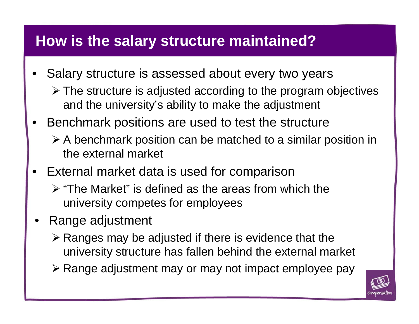# **How is the salary structure maintained?**

- • Salary structure is assessed about every two years
	- The structure is adjusted according to the program objectives and the university's ability to make the adjustment
- • Benchmark positions are used to test the structure
	- A benchmark position can be matched to a similar position in the external market
- • External market data is used for comparison
	- $\triangleright$  "The Market" is defined as the areas from which the university competes for employees
- • Range adjustment
	- $\triangleright$  Ranges may be adjusted if there is evidence that the university structure has fallen behind the external market
	- ≻ Range adjustment may or may not impact employee pay

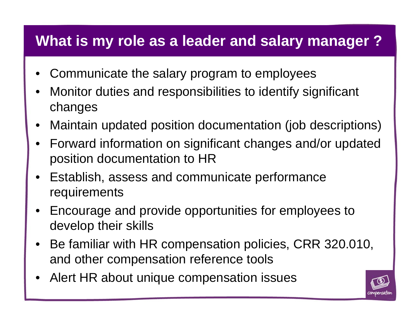# **What is my role as a leader and salary manager ?**

- •Communicate the salary program to employees
- • Monitor duties and responsibilities to identify significant changes
- $\bullet$ Maintain updated position documentation (job descriptions)
- $\bullet$  Forward information on significant changes and/or updated position documentation to HR
- $\bullet$  Establish, assess and communicate performance requirements
- $\bullet$  Encourage and provide opportunities for employees to develop their skills
- $\bullet$  Be familiar with HR compensation policies, CRR 320.010, and other compensation reference tools
- •Alert HR about unique compensation issues

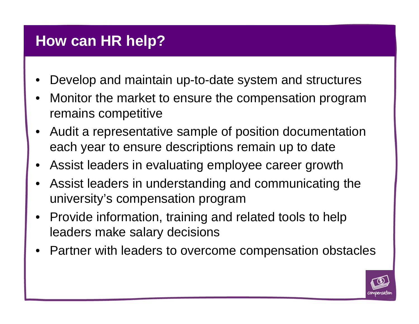#### **How can HR help?**

- •Develop and maintain up-to-date system and structures
- $\bullet$  Monitor the market to ensure the compensation program remains competitive
- • Audit a representative sample of position documentation each year to ensure descriptions remain up to date
- •Assist leaders in evaluating employee career growth
- • Assist leaders in understanding and communicating the university's compensation program
- • Provide information, training and related tools to help leaders make salary decisions
- •Partner with leaders to overcome compensation obstacles

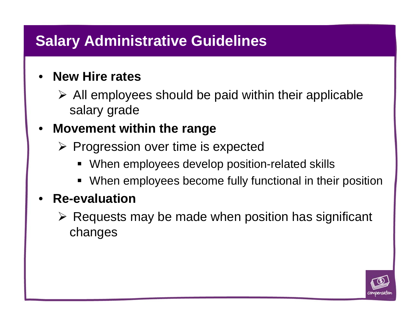# **Salary Administrative Guidelines**

#### • **New Hire rates**

 $\triangleright$  All employees should be paid within their applicable salary grade

#### $\bullet$ **Movement within the range**

- $\triangleright$  Progression over time is expected
	- ٠ When employees develop position-related skills
	- $\blacksquare$ When employees become fully functional in their position

#### •**Re-evaluation**

 $\triangleright$  Requests may be made when position has significant changes

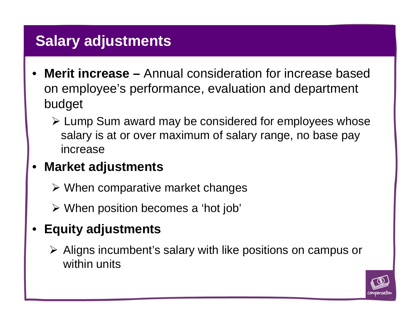# **Salary adjustments**

- • **Merit increase –** Annual consideration for increase based on employee's performance, evaluation and department budget
	- Lump Sum award may be considered for employees whose salary is at or over maximum of salary range, no base pay increase

#### •**Market adjustments**

- When comparative market changes
- When position becomes a 'hot job'

#### •**Equity adjustments**

 Aligns incumbent's salary with like positions on campus or within units

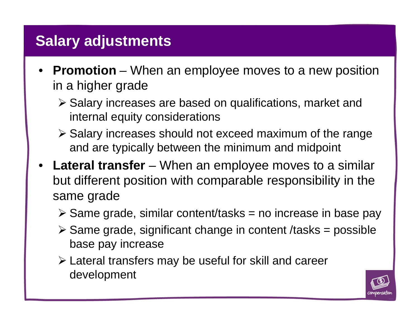# **Salary adjustments**

- **Promotion** When an employee moves to a new position in a higher grade
	- Salary increases are based on qualifications, market and internal equity considerations
	- $\triangleright$  Salary increases should not exceed maximum of the range and are typically between the minimum and midpoint
- **Lateral transfer**  When an employee moves to a similar but different position with comparable responsibility in the same grade
	- $\triangleright$  Same grade, similar content/tasks = no increase in base pay
	- $\triangleright$  Same grade, significant change in content /tasks = possible base pay increase
	- Lateral transfers may be useful for skill and career development

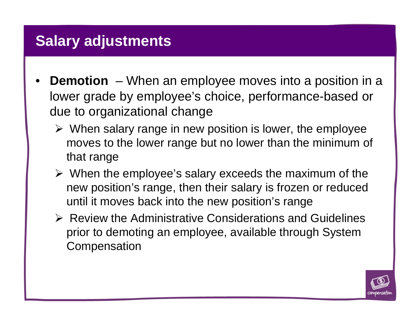### **Salary adjustments**

- • **Demotion** – When an employee moves into a position in a lower grade by employee's choice, performance-based or due to organizational change
	- $\triangleright$  When salary range in new position is lower, the employee moves to the lower range but no lower than the minimum of that range
	- $\triangleright$  When the employee's salary exceeds the maximum of the new position's range, then their salary is frozen or reduced until it moves back into the new position's range
	- $\triangleright$  Review the Administrative Considerations and Guidelines prior to demoting an employee, available through System **Compensation**

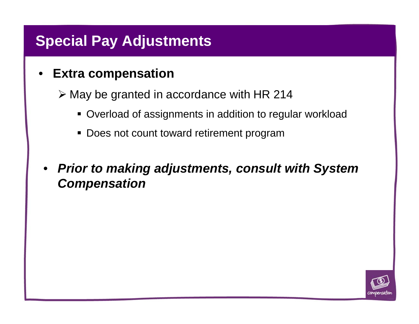# **Special Pay Adjustments**

#### •**Extra compensation**

 $\triangleright$  May be granted in accordance with HR 214

- Overload of assignments in addition to regular workload
- Does not count toward retirement program
- • *Prior to making adjustments, consult with System Compensation*

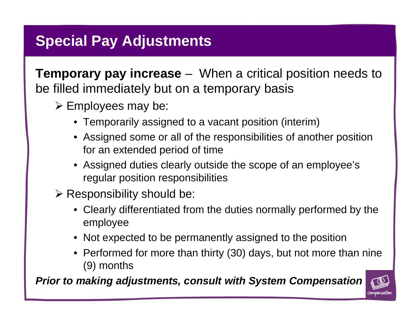# **Special Pay Adjustments**

**Temporary pay increase** – When a critical position needs to be filled immediately but on a temporary basis

- $\triangleright$  Employees may be:
	- Temporarily assigned to a vacant position (interim)
	- Assigned some or all of the responsibilities of another position for an extended period of time
	- Assigned duties clearly outside the scope of an employee's regular position responsibilities
- $\triangleright$  Responsibility should be:
	- Clearly differentiated from the duties normally performed by the employee
	- Not expected to be permanently assigned to the position
	- Performed for more than thirty (30) days, but not more than nine (9) months

*Prior to making adjustments, consult with System Compensation*

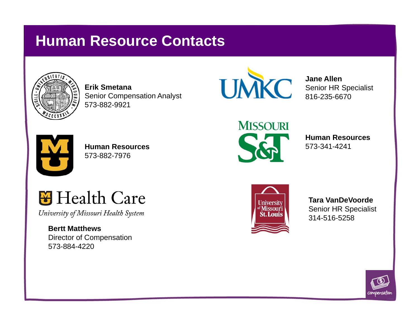# **Human Resource Contacts**



**Erik Smetana**Senior Compensation Analyst 573-882-9921



**Jane Allen**Senior HR Specialist 816-235-6670



**Human Resources**573-882-7976



**Human Resources**573-341-4241



**Tara VanDeVoorde**Senior HR Specialist 314-516-5258



**M** Health Care

University of Missouri Health System

**Bertt Matthews**Director of Compensation 573-884-4220